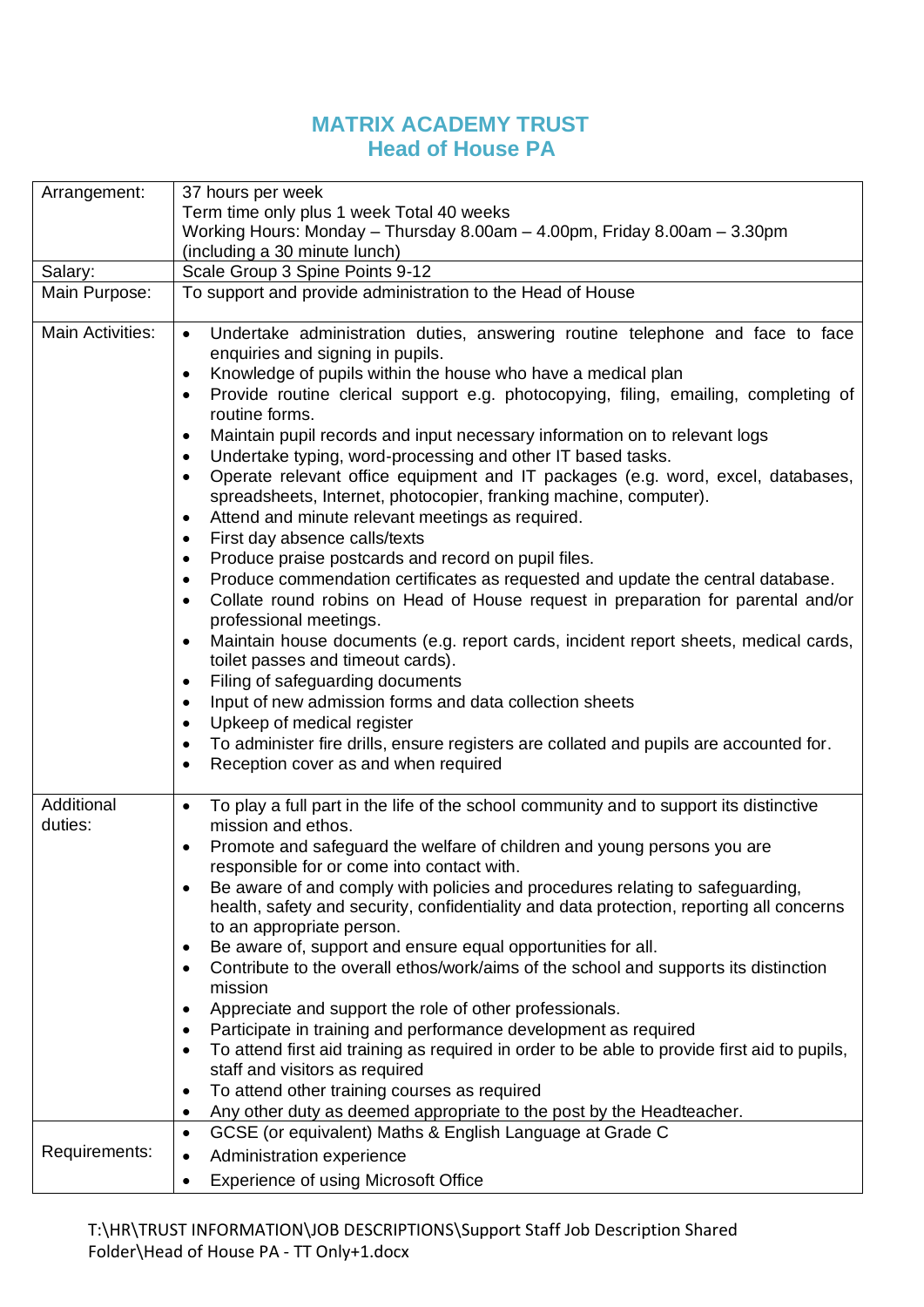## **MATRIX ACADEMY TRUST Head of House PA**

| Arrangement:            | 37 hours per week                                                                                                                                                                                                                                                                                                                                                                                                                                                                                                                                                                                                                                                                                                                                                                                                                                                                                                                                                                                                                                                                                                                                                                                                                                                                                                                                                                                                                                                                                                                                       |  |  |  |
|-------------------------|---------------------------------------------------------------------------------------------------------------------------------------------------------------------------------------------------------------------------------------------------------------------------------------------------------------------------------------------------------------------------------------------------------------------------------------------------------------------------------------------------------------------------------------------------------------------------------------------------------------------------------------------------------------------------------------------------------------------------------------------------------------------------------------------------------------------------------------------------------------------------------------------------------------------------------------------------------------------------------------------------------------------------------------------------------------------------------------------------------------------------------------------------------------------------------------------------------------------------------------------------------------------------------------------------------------------------------------------------------------------------------------------------------------------------------------------------------------------------------------------------------------------------------------------------------|--|--|--|
|                         | Term time only plus 1 week Total 40 weeks                                                                                                                                                                                                                                                                                                                                                                                                                                                                                                                                                                                                                                                                                                                                                                                                                                                                                                                                                                                                                                                                                                                                                                                                                                                                                                                                                                                                                                                                                                               |  |  |  |
|                         | Working Hours: Monday - Thursday 8.00am - 4.00pm, Friday 8.00am - 3.30pm                                                                                                                                                                                                                                                                                                                                                                                                                                                                                                                                                                                                                                                                                                                                                                                                                                                                                                                                                                                                                                                                                                                                                                                                                                                                                                                                                                                                                                                                                |  |  |  |
|                         | (including a 30 minute lunch)                                                                                                                                                                                                                                                                                                                                                                                                                                                                                                                                                                                                                                                                                                                                                                                                                                                                                                                                                                                                                                                                                                                                                                                                                                                                                                                                                                                                                                                                                                                           |  |  |  |
| Salary:                 | Scale Group 3 Spine Points 9-12                                                                                                                                                                                                                                                                                                                                                                                                                                                                                                                                                                                                                                                                                                                                                                                                                                                                                                                                                                                                                                                                                                                                                                                                                                                                                                                                                                                                                                                                                                                         |  |  |  |
| Main Purpose:           | To support and provide administration to the Head of House                                                                                                                                                                                                                                                                                                                                                                                                                                                                                                                                                                                                                                                                                                                                                                                                                                                                                                                                                                                                                                                                                                                                                                                                                                                                                                                                                                                                                                                                                              |  |  |  |
|                         |                                                                                                                                                                                                                                                                                                                                                                                                                                                                                                                                                                                                                                                                                                                                                                                                                                                                                                                                                                                                                                                                                                                                                                                                                                                                                                                                                                                                                                                                                                                                                         |  |  |  |
| <b>Main Activities:</b> | Undertake administration duties, answering routine telephone and face to face<br>$\bullet$<br>enquiries and signing in pupils.<br>Knowledge of pupils within the house who have a medical plan<br>$\bullet$<br>Provide routine clerical support e.g. photocopying, filing, emailing, completing of<br>$\bullet$<br>routine forms.<br>Maintain pupil records and input necessary information on to relevant logs<br>$\bullet$<br>Undertake typing, word-processing and other IT based tasks.<br>$\bullet$<br>Operate relevant office equipment and IT packages (e.g. word, excel, databases,<br>$\bullet$<br>spreadsheets, Internet, photocopier, franking machine, computer).<br>Attend and minute relevant meetings as required.<br>$\bullet$<br>First day absence calls/texts<br>$\bullet$<br>Produce praise postcards and record on pupil files.<br>$\bullet$<br>Produce commendation certificates as requested and update the central database.<br>$\bullet$<br>Collate round robins on Head of House request in preparation for parental and/or<br>$\bullet$<br>professional meetings.<br>Maintain house documents (e.g. report cards, incident report sheets, medical cards,<br>toilet passes and timeout cards).<br>Filing of safeguarding documents<br>$\bullet$<br>Input of new admission forms and data collection sheets<br>$\bullet$<br>Upkeep of medical register<br>$\bullet$<br>To administer fire drills, ensure registers are collated and pupils are accounted for.<br>$\bullet$<br>Reception cover as and when required<br>$\bullet$ |  |  |  |
|                         |                                                                                                                                                                                                                                                                                                                                                                                                                                                                                                                                                                                                                                                                                                                                                                                                                                                                                                                                                                                                                                                                                                                                                                                                                                                                                                                                                                                                                                                                                                                                                         |  |  |  |
| Additional<br>duties:   | To play a full part in the life of the school community and to support its distinctive<br>$\bullet$<br>mission and ethos.                                                                                                                                                                                                                                                                                                                                                                                                                                                                                                                                                                                                                                                                                                                                                                                                                                                                                                                                                                                                                                                                                                                                                                                                                                                                                                                                                                                                                               |  |  |  |
|                         | Promote and safeguard the welfare of children and young persons you are<br>responsible for or come into contact with.                                                                                                                                                                                                                                                                                                                                                                                                                                                                                                                                                                                                                                                                                                                                                                                                                                                                                                                                                                                                                                                                                                                                                                                                                                                                                                                                                                                                                                   |  |  |  |
|                         | Be aware of and comply with policies and procedures relating to safeguarding,<br>health, safety and security, confidentiality and data protection, reporting all concerns<br>to an appropriate person.                                                                                                                                                                                                                                                                                                                                                                                                                                                                                                                                                                                                                                                                                                                                                                                                                                                                                                                                                                                                                                                                                                                                                                                                                                                                                                                                                  |  |  |  |
|                         | Be aware of, support and ensure equal opportunities for all.<br>٠                                                                                                                                                                                                                                                                                                                                                                                                                                                                                                                                                                                                                                                                                                                                                                                                                                                                                                                                                                                                                                                                                                                                                                                                                                                                                                                                                                                                                                                                                       |  |  |  |
|                         | Contribute to the overall ethos/work/aims of the school and supports its distinction<br>$\bullet$<br>mission                                                                                                                                                                                                                                                                                                                                                                                                                                                                                                                                                                                                                                                                                                                                                                                                                                                                                                                                                                                                                                                                                                                                                                                                                                                                                                                                                                                                                                            |  |  |  |
|                         | Appreciate and support the role of other professionals.<br>$\bullet$                                                                                                                                                                                                                                                                                                                                                                                                                                                                                                                                                                                                                                                                                                                                                                                                                                                                                                                                                                                                                                                                                                                                                                                                                                                                                                                                                                                                                                                                                    |  |  |  |
|                         | Participate in training and performance development as required<br>$\bullet$                                                                                                                                                                                                                                                                                                                                                                                                                                                                                                                                                                                                                                                                                                                                                                                                                                                                                                                                                                                                                                                                                                                                                                                                                                                                                                                                                                                                                                                                            |  |  |  |
|                         | To attend first aid training as required in order to be able to provide first aid to pupils,<br>staff and visitors as required                                                                                                                                                                                                                                                                                                                                                                                                                                                                                                                                                                                                                                                                                                                                                                                                                                                                                                                                                                                                                                                                                                                                                                                                                                                                                                                                                                                                                          |  |  |  |
|                         | To attend other training courses as required<br>٠                                                                                                                                                                                                                                                                                                                                                                                                                                                                                                                                                                                                                                                                                                                                                                                                                                                                                                                                                                                                                                                                                                                                                                                                                                                                                                                                                                                                                                                                                                       |  |  |  |
|                         | Any other duty as deemed appropriate to the post by the Headteacher.<br>$\bullet$                                                                                                                                                                                                                                                                                                                                                                                                                                                                                                                                                                                                                                                                                                                                                                                                                                                                                                                                                                                                                                                                                                                                                                                                                                                                                                                                                                                                                                                                       |  |  |  |
|                         | GCSE (or equivalent) Maths & English Language at Grade C<br>$\bullet$                                                                                                                                                                                                                                                                                                                                                                                                                                                                                                                                                                                                                                                                                                                                                                                                                                                                                                                                                                                                                                                                                                                                                                                                                                                                                                                                                                                                                                                                                   |  |  |  |
| Requirements:           |                                                                                                                                                                                                                                                                                                                                                                                                                                                                                                                                                                                                                                                                                                                                                                                                                                                                                                                                                                                                                                                                                                                                                                                                                                                                                                                                                                                                                                                                                                                                                         |  |  |  |
|                         | Administration experience<br>$\bullet$                                                                                                                                                                                                                                                                                                                                                                                                                                                                                                                                                                                                                                                                                                                                                                                                                                                                                                                                                                                                                                                                                                                                                                                                                                                                                                                                                                                                                                                                                                                  |  |  |  |
|                         | <b>Experience of using Microsoft Office</b>                                                                                                                                                                                                                                                                                                                                                                                                                                                                                                                                                                                                                                                                                                                                                                                                                                                                                                                                                                                                                                                                                                                                                                                                                                                                                                                                                                                                                                                                                                             |  |  |  |